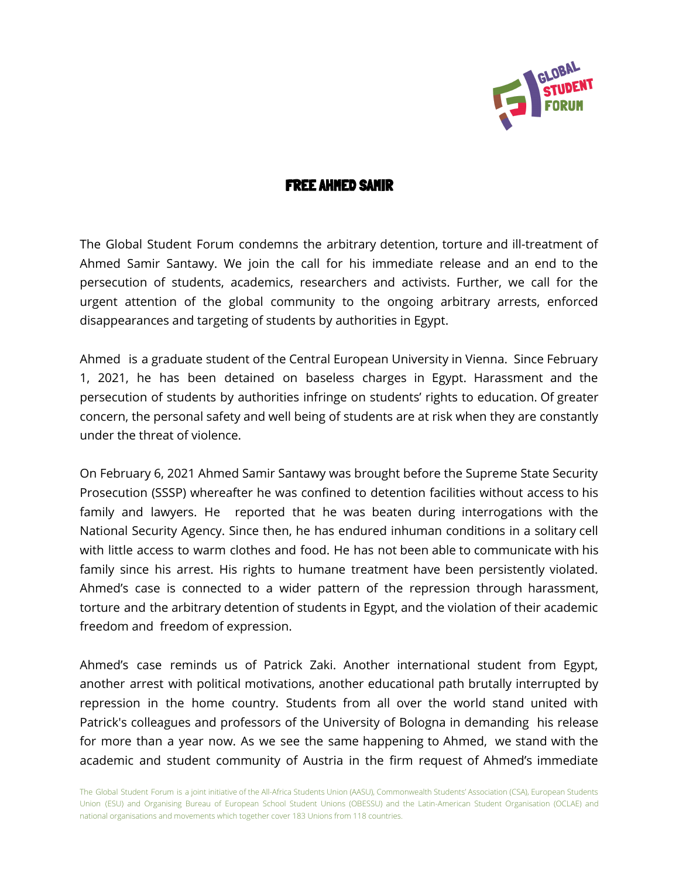

## FREE AHMED SAMIR

The Global Student Forum condemns the arbitrary detention, torture and ill-treatment of Ahmed Samir Santawy. We join the call for his immediate release and an end to the persecution of students, academics, researchers and activists. Further, we call for the urgent attention of the global community to the ongoing arbitrary arrests, enforced disappearances and targeting of students by authorities in Egypt.

Ahmed is a graduate student of the Central European University in Vienna. Since February 1, 2021, he has been detained on baseless charges in Egypt. Harassment and the persecution of students by authorities infringe on students' rights to education. Of greater concern, the personal safety and well being of students are at risk when they are constantly under the threat of violence.

On February 6, 2021 Ahmed Samir Santawy was brought before the Supreme State Security Prosecution (SSSP) whereafter he was confined to detention facilities without access to his family and lawyers. He reported that he was beaten during interrogations with the National Security Agency. Since then, he has endured inhuman conditions in a solitary cell with little access to warm clothes and food. He has not been able to communicate with his family since his arrest. His rights to humane treatment have been persistently violated. Ahmed's case is connected to a wider pattern of the repression through harassment, torture and the arbitrary detention of students in Egypt, and the violation of their academic freedom and freedom of expression.

Ahmed's case reminds us of Patrick Zaki. Another international student from Egypt, another arrest with political motivations, another educational path brutally interrupted by repression in the home country. Students from all over the world stand united with Patrick's colleagues and professors of the University of Bologna in demanding his release for more than a year now. As we see the same happening to Ahmed, we stand with the academic and student community of Austria in the firm request of Ahmed's immediate